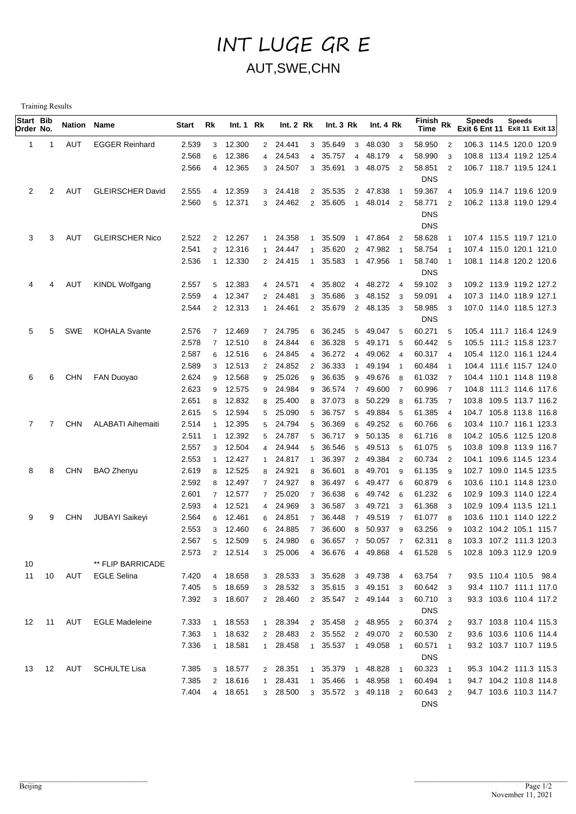## INT LUGE GR E AUT,SWE,CHN

Training Results

| Start Bib<br>Order No. |    | Nation Name |                          | Start | Rk             | Int.1 Rk |                | Int. 2 Rk |                | Int. $3 \, Rk$ |                | Int. 4 Rk           |                          | $\widetilde{F}$ inish Rk<br><b>Time</b> |                | <b>Speeds</b><br>Exit 6 Ent 11 Exit 11 Exit 13 | <b>Speeds</b> |  |
|------------------------|----|-------------|--------------------------|-------|----------------|----------|----------------|-----------|----------------|----------------|----------------|---------------------|--------------------------|-----------------------------------------|----------------|------------------------------------------------|---------------|--|
| 1                      | 1  | AUT         | <b>EGGER Reinhard</b>    | 2.539 | 3              | 12.300   |                | 2 24.441  | 3              | 35.649         | $\mathbf{3}$   | 48.030              | $\overline{\mathbf{3}}$  | 58.950                                  | $\overline{2}$ | 106.3 114.5 120.0 120.9                        |               |  |
|                        |    |             |                          | 2.568 | 6              | 12.386   |                | 4 24.543  | $\overline{4}$ | 35.757         | $\overline{4}$ | 48.179              | $\overline{4}$           | 58.990                                  | 3              | 108.8 113.4 119.2 125.4                        |               |  |
|                        |    |             |                          | 2.566 |                | 4 12.365 |                | 3 24.507  | 3              | 35.691         | 3              | 48.075              | $\overline{2}$           | 58.851                                  | $\overline{2}$ | 106.7 118.7 119.5 124.1                        |               |  |
|                        |    |             |                          |       |                |          |                |           |                |                |                |                     |                          | <b>DNS</b>                              |                |                                                |               |  |
| 2                      | 2  | AUT         | <b>GLEIRSCHER David</b>  | 2.555 | $\overline{4}$ | 12.359   |                | 3 24.418  |                | 2 35.535       |                | 2 47.838            | $\overline{1}$           | 59.367                                  | $\overline{4}$ | 105.9 114.7 119.6 120.9                        |               |  |
|                        |    |             |                          | 2.560 | 5              | 12.371   | 3 <sup>7</sup> | 24.462    | $\overline{2}$ | 35.605         | $\overline{1}$ | 48.014 2            |                          | 58.771                                  | $\overline{2}$ | 106.2 113.8 119.0 129.4                        |               |  |
|                        |    |             |                          |       |                |          |                |           |                |                |                |                     |                          | <b>DNS</b>                              |                |                                                |               |  |
|                        |    |             |                          |       |                |          |                |           |                |                |                |                     |                          | <b>DNS</b>                              |                |                                                |               |  |
| 3                      | 3  | AUT         | <b>GLEIRSCHER Nico</b>   | 2.522 | $\overline{2}$ | 12.267   |                | 1 24.358  | $\overline{1}$ | 35.509         | $\overline{1}$ | 47.864 2            |                          | 58.628                                  | -1             | 107.4 115.5 119.7 121.0                        |               |  |
|                        |    |             |                          | 2.541 | 2              | 12.316   | 1              | 24.447    | $\mathbf 1$    | 35.620         |                | 2 47.982            | - 1                      | 58.754                                  | -1             | 107.4 115.0 120.1 121.0                        |               |  |
|                        |    |             |                          | 2.536 |                | 1 12.330 |                | 2 24.415  | $\overline{1}$ | 35.583         | $\overline{1}$ | 47.956              | $\overline{1}$           | 58.740                                  | $\mathbf{1}$   | 108.1 114.8 120.2 120.6                        |               |  |
|                        |    |             |                          |       |                |          |                |           |                |                |                |                     |                          | <b>DNS</b>                              |                |                                                |               |  |
| 4                      | 4  | AUT         | <b>KINDL Wolfgang</b>    | 2.557 | 5              | 12.383   |                | 4 24.571  | $\overline{4}$ | 35.802         |                | 4 48.272            | $\overline{4}$           | 59.102                                  | 3              | 109.2 113.9 119.2 127.2                        |               |  |
|                        |    |             |                          | 2.559 | 4              | 12.347   |                | 2 24.481  | 3              | 35.686         | 3              | 48.152 3            |                          | 59.091                                  | $\overline{4}$ | 107.3 114.0 118.9 127.1                        |               |  |
|                        |    |             |                          | 2.544 |                | 2 12.313 |                | 1 24.461  |                | 2 35.679       |                | 2 48.135 3          |                          | 58.985                                  | 3              | 107.0 114.0 118.5 127.3                        |               |  |
|                        |    |             |                          |       |                |          |                |           |                |                |                |                     |                          | <b>DNS</b>                              |                |                                                |               |  |
| 5                      | 5  | SWE         | <b>KOHALA Svante</b>     | 2.576 |                | 7 12.469 |                | 7 24.795  | 6              | 36.245         | 5              | 49.047              | 5                        | 60.271                                  | 5              | 105.4 111.7 116.4 124.9                        |               |  |
|                        |    |             |                          | 2.578 | $\overline{7}$ | 12.510   | 8              | 24.844    | 6              | 36.328         | 5              | 49.171              | 5                        | 60.442                                  | 5              | 105.5 111.3 115.8 123.7                        |               |  |
|                        |    |             |                          | 2.587 | 6              | 12.516   | 6              | 24.845    | 4              | 36.272         | 4              | 49.062              | $\overline{4}$           | 60.317                                  | $\overline{4}$ | 105.4 112.0 116.1 124.4                        |               |  |
|                        |    |             |                          | 2.589 | 3              | 12.513   | $\overline{2}$ | 24.852    | $\overline{2}$ | 36.333         | $\overline{1}$ | 49.194 1            |                          | 60.484                                  | $\overline{1}$ | 104.4 111.6 115.7 124.0                        |               |  |
| 6                      | 6  | <b>CHN</b>  | <b>FAN Duoyao</b>        | 2.624 | 9              | 12.568   | 9              | 25.026    | 9              | 36.635         | 9              | 49.676              | - 8                      | 61.032                                  | $\overline{7}$ | 104.4 110.1 114.8 119.8                        |               |  |
|                        |    |             |                          | 2.623 | 9              | 12.575   | 9              | 24.984    | 9              | 36.574         | $\overline{7}$ | 49.600 7            |                          | 60.996                                  | - 7            | 104.8 111.3 114.6 117.6                        |               |  |
|                        |    |             |                          | 2.651 | 8              | 12.832   | 8              | 25.400    | 8              | 37.073         | 8              | 50.229              | - 8                      | 61.735                                  | $\overline{7}$ | 103.8 109.5 113.7 116.2                        |               |  |
|                        |    |             |                          | 2.615 | 5              | 12.594   | 5              | 25.090    | 5              | 36.757         | 5              | 49.884              | 5                        | 61.385                                  | $\overline{4}$ | 104.7 105.8 113.8 116.8                        |               |  |
| 7                      | 7  | <b>CHN</b>  | <b>ALABATI Aihemaiti</b> | 2.514 |                | 12.395   | 5              | 24.794    | 5              | 36.369         | 6              | 49.252 6            |                          | 60.766                                  | 6              | 103.4 110.7 116.1 123.3                        |               |  |
|                        |    |             |                          | 2.511 | 1              | 12.392   | 5              | 24.787    | 5              | 36.717         | 9              | 50.135              | - 8                      | 61.716                                  | 8              | 104.2 105.6 112.5 120.8                        |               |  |
|                        |    |             |                          | 2.557 | 3              | 12.504   | $\overline{4}$ | 24.944    | 5              | 36.546         | 5              | 49.513              | 5                        | 61.075                                  | 5              | 103.8 109.8 113.9 116.7                        |               |  |
|                        |    |             |                          | 2.553 | 1              | 12.427   | 1              | 24.817    | $\overline{1}$ | 36.397         | $\overline{2}$ | 49.384 2            |                          | 60.734                                  | $\overline{2}$ | 104.1 109.6 114.5 123.4                        |               |  |
| 8                      | 8  | <b>CHN</b>  | <b>BAO Zhenyu</b>        | 2.619 | 8              | 12.525   | 8              | 24.921    | 8              | 36.601         | 8              | 49.701              | -9                       | 61.135                                  | 9              | 102.7 109.0 114.5 123.5                        |               |  |
|                        |    |             |                          | 2.592 | 8              | 12.497   | $7^{\circ}$    | 24.927    | 8              | 36.497         | 6              | 49.477              | - 6                      | 60.879                                  | 6              | 103.6 110.1 114.8 123.0                        |               |  |
|                        |    |             |                          | 2.601 | $\overline{7}$ | 12.577   | $7^{\circ}$    | 25.020    | $\overline{7}$ | 36.638         | 6              | 49.742              | - 6                      | 61.232                                  | 6              | 102.9 109.3 114.0 122.4                        |               |  |
|                        |    |             |                          | 2.593 | 4              | 12.521   |                | 4 24.969  | 3              | 36.587         | 3              | 49.721              | $\overline{\mathbf{3}}$  | 61.368                                  | 3              | 102.9 109.4 113.5 121.1                        |               |  |
| 9                      | 9  | <b>CHN</b>  | <b>JUBAYI Saikeyi</b>    | 2.564 | 6              | 12.461   | 6              | 24.851    | $\overline{7}$ | 36.448         | $\overline{7}$ | 49.519              | $\overline{7}$           | 61.077                                  | 8              | 103.6 110.1 114.0 122.2                        |               |  |
|                        |    |             |                          | 2.553 | 3              | 12.460   | 6              | 24.885    | $\overline{7}$ | 36.600         | 8              | 50.937              | - 9                      | 63.256                                  | 9              | 103.2 104.2 105.1 115.7                        |               |  |
|                        |    |             |                          | 2.567 | 5              | 12.509   | 5              | 24.980    | 6              | 36.657         | $\overline{7}$ | 50.057 7            |                          | 62.311                                  | 8              | 103.3 107.2 111.3 120.3                        |               |  |
|                        |    |             |                          | 2.573 |                | 2 12.514 |                | 3 25.006  |                |                |                | 4 36.676 4 49.868 4 |                          | 61.528 5                                |                | 102.8 109.3 112.9 120.9                        |               |  |
| 10                     |    |             | ** FLIP BARRICADE        |       |                |          |                |           |                |                |                |                     |                          |                                         |                |                                                |               |  |
| 11                     | 10 | AUT         | <b>EGLE Selina</b>       | 7.420 | 4              | 18.658   |                | 3 28.533  |                | 3 35.628       |                | 3 49.738 4          |                          | 63.754 7                                |                | 93.5 110.4 110.5 98.4                          |               |  |
|                        |    |             |                          | 7.405 | 5              | 18.659   |                | 3 28.532  |                | 3 35.615       |                | 3 49.151 3          |                          | 60.642 3                                |                | 93.4 110.7 111.1 117.0                         |               |  |
|                        |    |             |                          | 7.392 |                | 3 18.607 |                | 2 28.460  |                |                |                | 2 35.547 2 49.144 3 |                          | 60.710                                  | -3             | 93.3 103.6 110.4 117.2                         |               |  |
|                        |    |             |                          |       |                |          |                |           |                |                |                |                     |                          | <b>DNS</b>                              |                |                                                |               |  |
| 12                     | 11 | AUT         | <b>EGLE Madeleine</b>    | 7.333 |                | 1 18.553 |                | 1 28.394  |                | 2 35.458       |                | 2 48.955            | $\overline{2}$           | 60.374                                  | $\overline{2}$ | 93.7 103.8 110.4 115.3                         |               |  |
|                        |    |             |                          | 7.363 | $\mathbf{1}$   | 18.632   |                | 2 28.483  |                | 2 35.552       |                | 2 49.070 2          |                          | 60.530                                  | $\overline{2}$ | 93.6 103.6 110.6 114.4                         |               |  |
|                        |    |             |                          | 7.336 |                | 1 18.581 |                | 1 28.458  | $\mathbf{1}$   | 35.537         |                | 1 49.058 1          |                          | 60.571                                  | $\overline{1}$ | 93.2 103.7 110.7 119.5                         |               |  |
|                        |    |             |                          |       |                |          |                |           |                |                |                |                     |                          | <b>DNS</b>                              |                |                                                |               |  |
| 13                     | 12 | AUT         | <b>SCHULTE Lisa</b>      | 7.385 |                | 3 18.577 |                | 2 28.351  | $\mathbf{1}$   | 35.379         | $\overline{1}$ | 48.828              | $\overline{\phantom{0}}$ | 60.323                                  | $\overline{1}$ | 95.3 104.2 111.3 115.3                         |               |  |
|                        |    |             |                          | 7.385 | $\overline{2}$ | 18.616   |                | 1 28.431  | $\mathbf{1}$   | 35.466         | $\overline{1}$ | 48.958 1            |                          | 60.494                                  | $\overline{1}$ | 94.7 104.2 110.8 114.8                         |               |  |
|                        |    |             |                          | 7.404 |                | 4 18.651 |                | 3 28.500  |                |                |                | 3 35.572 3 49.118 2 |                          | 60.643                                  | $\overline{2}$ | 94.7 103.6 110.3 114.7                         |               |  |
|                        |    |             |                          |       |                |          |                |           |                |                |                |                     |                          | <b>DNS</b>                              |                |                                                |               |  |